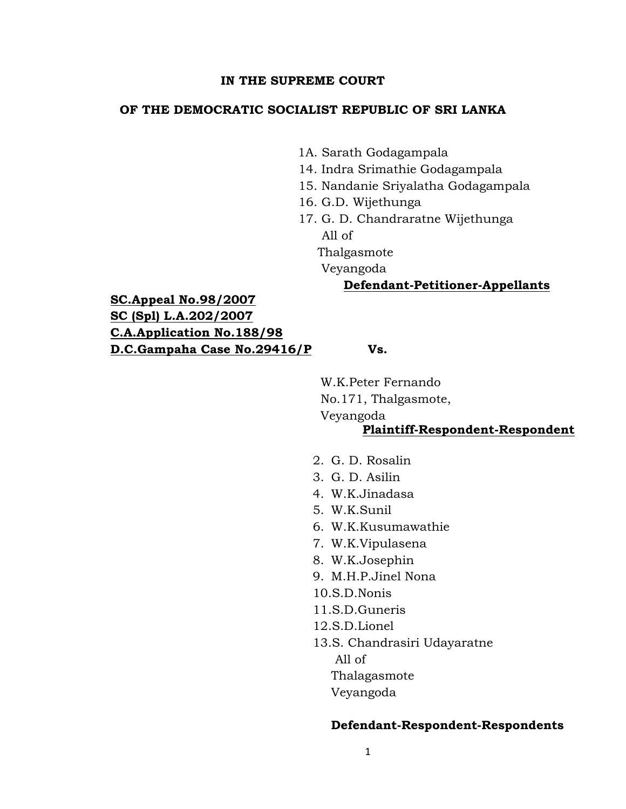#### **IN THE SUPREME COURT**

#### **OF THE DEMOCRATIC SOCIALIST REPUBLIC OF SRI LANKA**

- 1A. Sarath Godagampala
- 14. Indra Srimathie Godagampala
- 15. Nandanie Sriyalatha Godagampala
- 16. G.D. Wijethunga
- 17. G. D. Chandraratne Wijethunga All of

Thalgasmote

Veyangoda

#### **Defendant-Petitioner-Appellants**

**SC.Appeal No.98/2007 SC (Spl) L.A.202/2007 C.A.Application No.188/98 D.C.Gampaha Case No.29416/P Vs.**

 W.K.Peter Fernando No.171, Thalgasmote,

Veyangoda

# **Plaintiff-Respondent-Respondent**

- 2. G. D. Rosalin
- 3. G. D. Asilin
- 4. W.K.Jinadasa
- 5. W.K.Sunil
- 6. W.K.Kusumawathie
- 7. W.K.Vipulasena
- 8. W.K.Josephin
- 9. M.H.P.Jinel Nona
- 10.S.D.Nonis
- 11.S.D.Guneris
- 12.S.D.Lionel
- 13.S. Chandrasiri Udayaratne

All of

Thalagasmote

Veyangoda

#### **Defendant-Respondent-Respondents**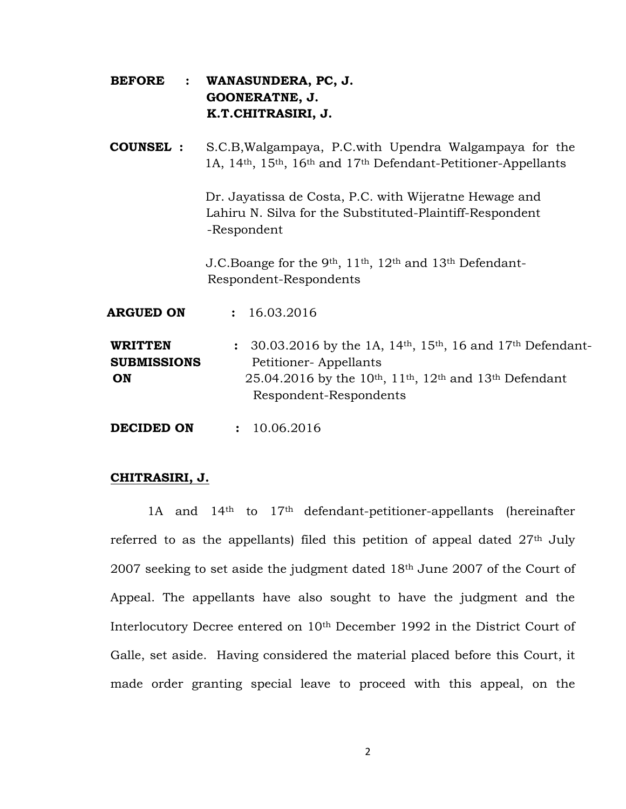- **BEFORE : WANASUNDERA, PC, J. GOONERATNE, J. K.T.CHITRASIRI, J.**
- **COUNSEL :** S.C.B,Walgampaya, P.C.with Upendra Walgampaya for the 1A, 14th, 15th, 16th and 17th Defendant-Petitioner-Appellants

Dr. Jayatissa de Costa, P.C. with Wijeratne Hewage and Lahiru N. Silva for the Substituted-Plaintiff-Respondent -Respondent

 J.C.Boange for the 9th, 11th, 12th and 13th Defendant- Respondent-Respondents

| <b>ARGUED ON</b>                           | : 16.03.2016                                                                                                                                                                                                                                                     |
|--------------------------------------------|------------------------------------------------------------------------------------------------------------------------------------------------------------------------------------------------------------------------------------------------------------------|
| <b>WRITTEN</b><br><b>SUBMISSIONS</b><br>ON | : $30.03.2016$ by the 1A, 14 <sup>th</sup> , 15 <sup>th</sup> , 16 and 17 <sup>th</sup> Defendant-<br>Petitioner-Appellants<br>25.04.2016 by the 10 <sup>th</sup> , 11 <sup>th</sup> , 12 <sup>th</sup> and 13 <sup>th</sup> Defendant<br>Respondent-Respondents |
|                                            |                                                                                                                                                                                                                                                                  |

**DECIDED ON : 10.06.2016** 

## **CHITRASIRI, J.**

1A and 14th to 17th defendant-petitioner-appellants (hereinafter referred to as the appellants) filed this petition of appeal dated  $27<sup>th</sup>$  July 2007 seeking to set aside the judgment dated 18th June 2007 of the Court of Appeal. The appellants have also sought to have the judgment and the Interlocutory Decree entered on 10th December 1992 in the District Court of Galle, set aside. Having considered the material placed before this Court, it made order granting special leave to proceed with this appeal, on the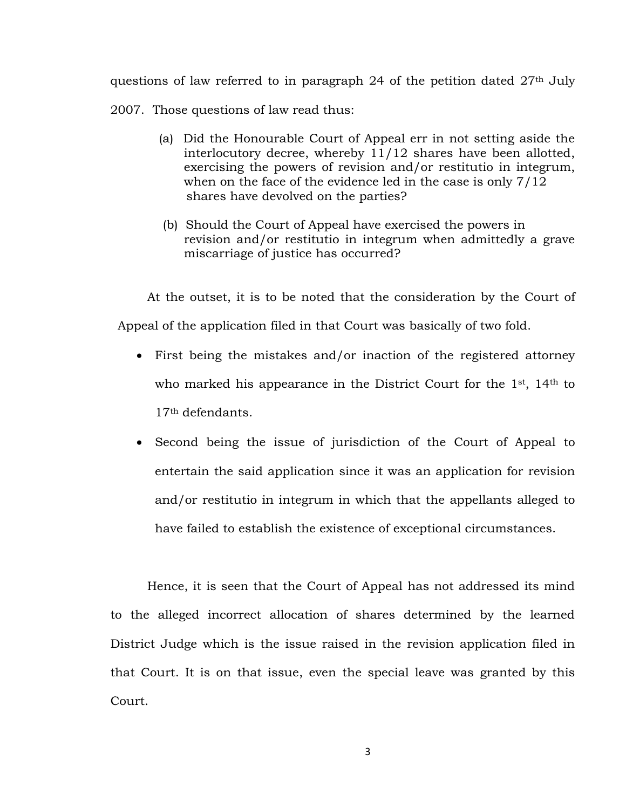questions of law referred to in paragraph 24 of the petition dated 27<sup>th</sup> July 2007. Those questions of law read thus:

- (a) Did the Honourable Court of Appeal err in not setting aside the interlocutory decree, whereby 11/12 shares have been allotted, exercising the powers of revision and/or restitutio in integrum, when on the face of the evidence led in the case is only 7/12 shares have devolved on the parties?
- (b) Should the Court of Appeal have exercised the powers in revision and/or restitutio in integrum when admittedly a grave miscarriage of justice has occurred?

At the outset, it is to be noted that the consideration by the Court of Appeal of the application filed in that Court was basically of two fold.

- First being the mistakes and/or inaction of the registered attorney who marked his appearance in the District Court for the 1<sup>st</sup>, 14<sup>th</sup> to 17th defendants.
- Second being the issue of jurisdiction of the Court of Appeal to entertain the said application since it was an application for revision and/or restitutio in integrum in which that the appellants alleged to have failed to establish the existence of exceptional circumstances.

Hence, it is seen that the Court of Appeal has not addressed its mind to the alleged incorrect allocation of shares determined by the learned District Judge which is the issue raised in the revision application filed in that Court. It is on that issue, even the special leave was granted by this Court.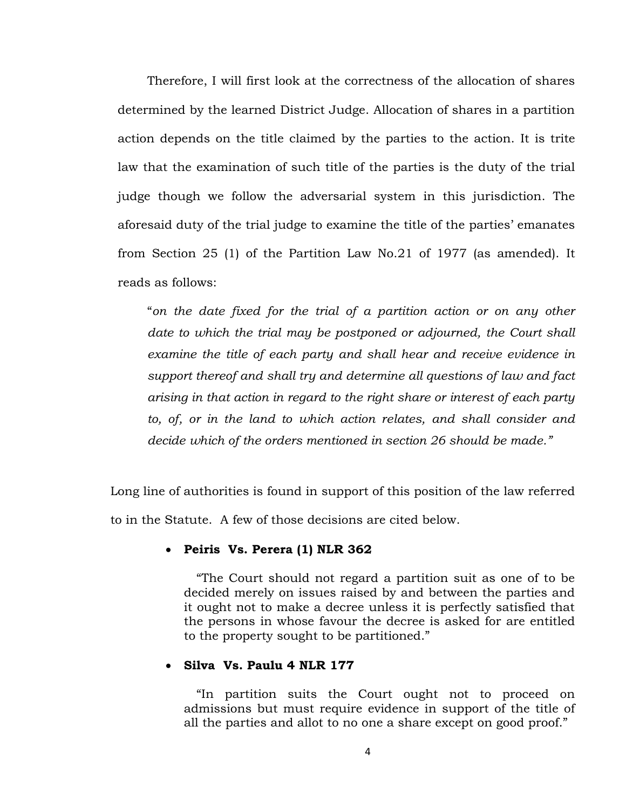Therefore, I will first look at the correctness of the allocation of shares determined by the learned District Judge. Allocation of shares in a partition action depends on the title claimed by the parties to the action. It is trite law that the examination of such title of the parties is the duty of the trial judge though we follow the adversarial system in this jurisdiction. The aforesaid duty of the trial judge to examine the title of the parties' emanates from Section 25 (1) of the Partition Law No.21 of 1977 (as amended). It reads as follows:

"*on the date fixed for the trial of a partition action or on any other date to which the trial may be postponed or adjourned, the Court shall examine the title of each party and shall hear and receive evidence in support thereof and shall try and determine all questions of law and fact arising in that action in regard to the right share or interest of each party to, of, or in the land to which action relates, and shall consider and decide which of the orders mentioned in section 26 should be made."*

Long line of authorities is found in support of this position of the law referred to in the Statute. A few of those decisions are cited below.

## **Peiris Vs. Perera (1) NLR 362**

"The Court should not regard a partition suit as one of to be decided merely on issues raised by and between the parties and it ought not to make a decree unless it is perfectly satisfied that the persons in whose favour the decree is asked for are entitled to the property sought to be partitioned."

## **Silva Vs. Paulu 4 NLR 177**

"In partition suits the Court ought not to proceed on admissions but must require evidence in support of the title of all the parties and allot to no one a share except on good proof."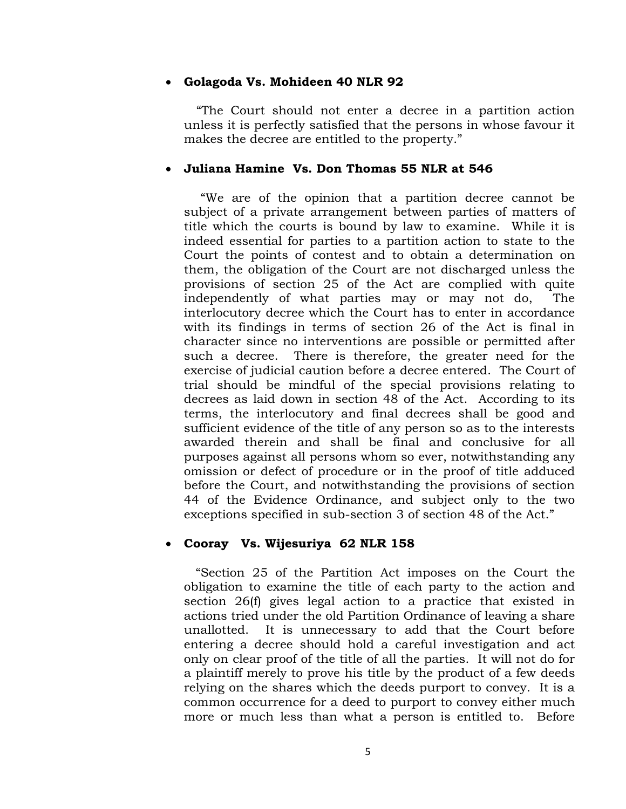#### **Golagoda Vs. Mohideen 40 NLR 92**

"The Court should not enter a decree in a partition action unless it is perfectly satisfied that the persons in whose favour it makes the decree are entitled to the property."

## **Juliana Hamine Vs. Don Thomas 55 NLR at 546**

"We are of the opinion that a partition decree cannot be subject of a private arrangement between parties of matters of title which the courts is bound by law to examine. While it is indeed essential for parties to a partition action to state to the Court the points of contest and to obtain a determination on them, the obligation of the Court are not discharged unless the provisions of section 25 of the Act are complied with quite independently of what parties may or may not do, The interlocutory decree which the Court has to enter in accordance with its findings in terms of section 26 of the Act is final in character since no interventions are possible or permitted after such a decree. There is therefore, the greater need for the exercise of judicial caution before a decree entered. The Court of trial should be mindful of the special provisions relating to decrees as laid down in section 48 of the Act. According to its terms, the interlocutory and final decrees shall be good and sufficient evidence of the title of any person so as to the interests awarded therein and shall be final and conclusive for all purposes against all persons whom so ever, notwithstanding any omission or defect of procedure or in the proof of title adduced before the Court, and notwithstanding the provisions of section 44 of the Evidence Ordinance, and subject only to the two exceptions specified in sub-section 3 of section 48 of the Act."

## **Cooray Vs. Wijesuriya 62 NLR 158**

 "Section 25 of the Partition Act imposes on the Court the obligation to examine the title of each party to the action and section 26(f) gives legal action to a practice that existed in actions tried under the old Partition Ordinance of leaving a share unallotted. It is unnecessary to add that the Court before entering a decree should hold a careful investigation and act only on clear proof of the title of all the parties. It will not do for a plaintiff merely to prove his title by the product of a few deeds relying on the shares which the deeds purport to convey. It is a common occurrence for a deed to purport to convey either much more or much less than what a person is entitled to. Before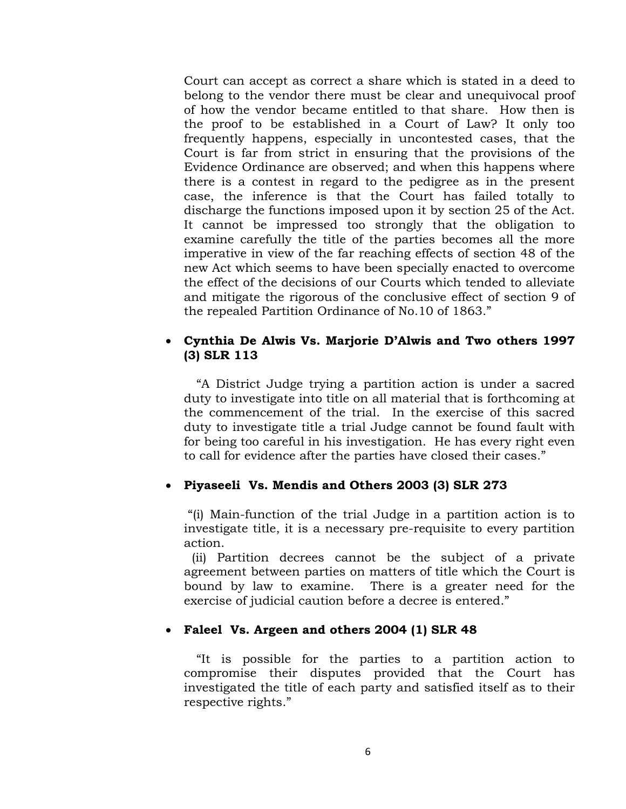Court can accept as correct a share which is stated in a deed to belong to the vendor there must be clear and unequivocal proof of how the vendor became entitled to that share. How then is the proof to be established in a Court of Law? It only too frequently happens, especially in uncontested cases, that the Court is far from strict in ensuring that the provisions of the Evidence Ordinance are observed; and when this happens where there is a contest in regard to the pedigree as in the present case, the inference is that the Court has failed totally to discharge the functions imposed upon it by section 25 of the Act. It cannot be impressed too strongly that the obligation to examine carefully the title of the parties becomes all the more imperative in view of the far reaching effects of section 48 of the new Act which seems to have been specially enacted to overcome the effect of the decisions of our Courts which tended to alleviate and mitigate the rigorous of the conclusive effect of section 9 of the repealed Partition Ordinance of No.10 of 1863."

# **Cynthia De Alwis Vs. Marjorie D'Alwis and Two others 1997 (3) SLR 113**

"A District Judge trying a partition action is under a sacred duty to investigate into title on all material that is forthcoming at the commencement of the trial. In the exercise of this sacred duty to investigate title a trial Judge cannot be found fault with for being too careful in his investigation. He has every right even to call for evidence after the parties have closed their cases."

## **Piyaseeli Vs. Mendis and Others 2003 (3) SLR 273**

"(i) Main-function of the trial Judge in a partition action is to investigate title, it is a necessary pre-requisite to every partition action.

 (ii) Partition decrees cannot be the subject of a private agreement between parties on matters of title which the Court is bound by law to examine. There is a greater need for the exercise of judicial caution before a decree is entered."

#### **Faleel Vs. Argeen and others 2004 (1) SLR 48**

"It is possible for the parties to a partition action to compromise their disputes provided that the Court has investigated the title of each party and satisfied itself as to their respective rights."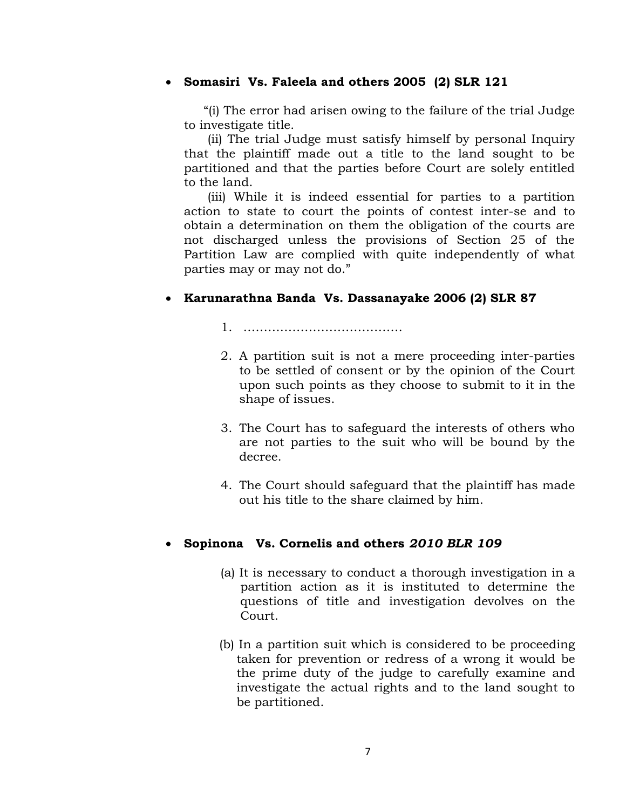# **Somasiri Vs. Faleela and others 2005 (2) SLR 121**

 "(i) The error had arisen owing to the failure of the trial Judge to investigate title.

 (ii) The trial Judge must satisfy himself by personal Inquiry that the plaintiff made out a title to the land sought to be partitioned and that the parties before Court are solely entitled to the land.

 (iii) While it is indeed essential for parties to a partition action to state to court the points of contest inter-se and to obtain a determination on them the obligation of the courts are not discharged unless the provisions of Section 25 of the Partition Law are complied with quite independently of what parties may or may not do."

# **Karunarathna Banda Vs. Dassanayake 2006 (2) SLR 87**

1. …………………………………

- 2. A partition suit is not a mere proceeding inter-parties to be settled of consent or by the opinion of the Court upon such points as they choose to submit to it in the shape of issues.
- 3. The Court has to safeguard the interests of others who are not parties to the suit who will be bound by the decree.
- 4. The Court should safeguard that the plaintiff has made out his title to the share claimed by him.

## **Sopinona Vs. Cornelis and others** *2010 BLR 109*

- (a) It is necessary to conduct a thorough investigation in a partition action as it is instituted to determine the questions of title and investigation devolves on the Court.
- (b) In a partition suit which is considered to be proceeding taken for prevention or redress of a wrong it would be the prime duty of the judge to carefully examine and investigate the actual rights and to the land sought to be partitioned.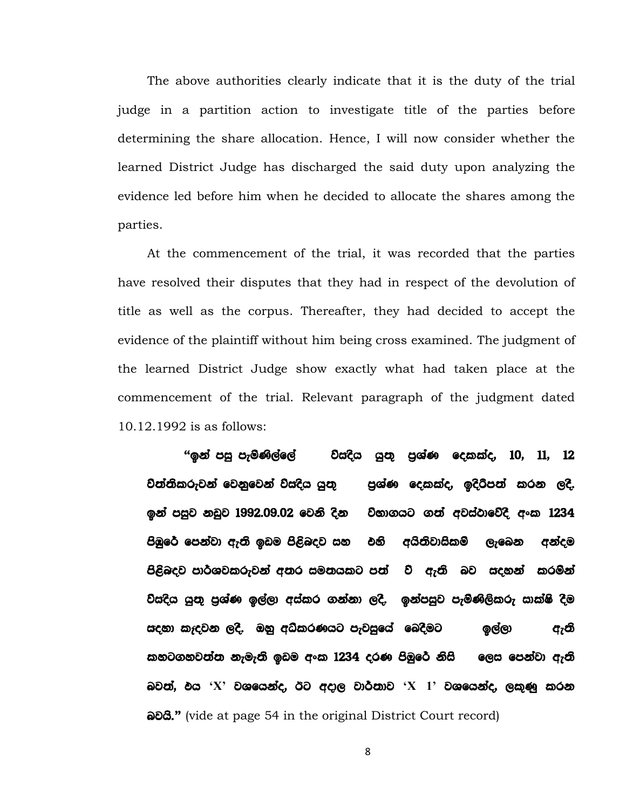The above authorities clearly indicate that it is the duty of the trial judge in a partition action to investigate title of the parties before determining the share allocation. Hence, I will now consider whether the learned District Judge has discharged the said duty upon analyzing the evidence led before him when he decided to allocate the shares among the parties.

At the commencement of the trial, it was recorded that the parties have resolved their disputes that they had in respect of the devolution of title as well as the corpus. Thereafter, they had decided to accept the evidence of the plaintiff without him being cross examined. The judgment of the learned District Judge show exactly what had taken place at the commencement of the trial. Relevant paragraph of the judgment dated 10.12.1992 is as follows:

**"**bka miq meusKs,af,a jsioZsh hq;= m%YaK follao" 10" 11" 12 වත්තිකරුවන් වෙනුවෙන් විසදිය යුතු පුශ්ණ දෙකක්ද, ඉදිරිපත් කරන ලදි. ඉන් පසුව නඩුව 1992.09.02 වෙනි දින විභාගයට ගත් අවස්ථාවේදී අංක 1234 පිඹුරේ පෙන්වා ඇති ඉඩම පිළිබදව සහ එහි අයිතිවාසිකම් ලැබෙන අන්දම පිළිබදව පාර්ශවකරුවන් අතර සමතයකට පත් වි ඇති බව සදහන් කරමින් විසදිය යුතු පුශ්ණ ඉල්ලා අස්කර ගන්නා ලදි. ඉන්පසුව පැමිණිලිකරු සාක්ෂි දීම ioZyd leoZjk ,oS' Tyq wOslrKhg mejiqfha fnoSug b,a,d we;s කහටගහවත්ත නැමැති ඉඩම අංක 1234 දරණ පිඹුරේ නිසි ලෙස පෙන්වා ඇති aවත්, එය 'X' වශයෙන්ද, ඊට අදාල වාර්තාව 'X 1' වශයෙන්ද, ලකුණු කරන a<sup>2</sup>8.<sup>*n*</sup> (vide at page 54 in the original District Court record)

8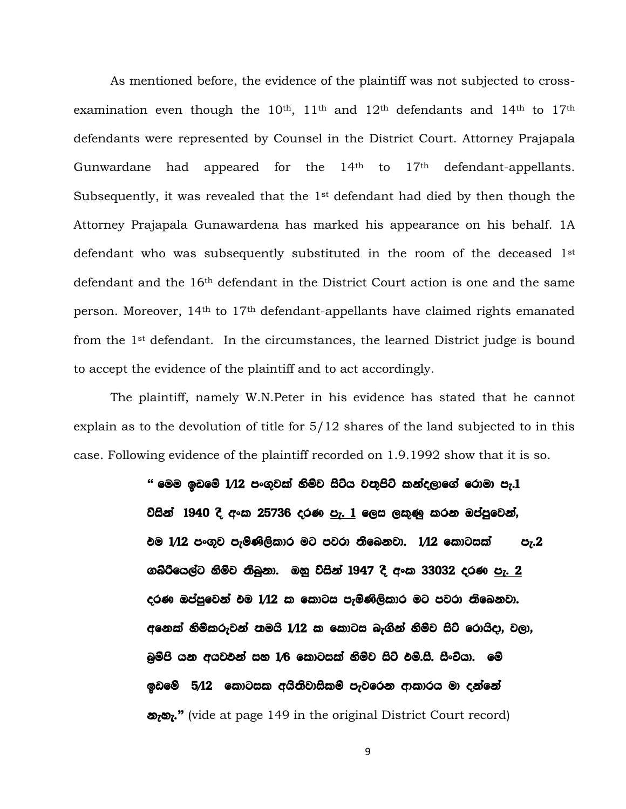As mentioned before, the evidence of the plaintiff was not subjected to crossexamination even though the  $10<sup>th</sup>$ ,  $11<sup>th</sup>$  and  $12<sup>th</sup>$  defendants and  $14<sup>th</sup>$  to  $17<sup>th</sup>$ defendants were represented by Counsel in the District Court. Attorney Prajapala Gunwardane had appeared for the 14<sup>th</sup> to 17<sup>th</sup> defendant-appellants. Subsequently, it was revealed that the 1st defendant had died by then though the Attorney Prajapala Gunawardena has marked his appearance on his behalf. 1A defendant who was subsequently substituted in the room of the deceased 1st defendant and the 16th defendant in the District Court action is one and the same person. Moreover, 14th to 17th defendant-appellants have claimed rights emanated from the 1st defendant. In the circumstances, the learned District judge is bound to accept the evidence of the plaintiff and to act accordingly.

The plaintiff, namely W.N.Peter in his evidence has stated that he cannot explain as to the devolution of title for 5/12 shares of the land subjected to in this case. Following evidence of the plaintiff recorded on 1.9.1992 show that it is so.

> <u>" මෙම ඉඩමේ 1/12 පංගුවක් නිම්ව සිටිය වතුපිටි කන්දලාගේ රොමා පැ.1</u> වයින් 1940 දී අංක 25736 දරණ පැ. 1 ලෙස ලකුණු කරන ඔප්පුවෙන්, එම  $1/12$  පංගුව පැමිණිලිකාර මට පවරා තිබෙනවා.  $1/12$  කොටසක් පැ. $2$ ගබ්රීයෙල්ට නිම්ව තිබුනා. ඔහු විසින් 1947 දී අංක 33032 දරණ <u>පැ. 2</u> දරණ ඔප්පුවෙන් එම I/12 ක කොටස පැමිණිලිකාර මට පවරා තිබෙනවා. අනෙක් නිම්කරුවන් තමයි 1/12 ක කොටස බැගින් නිම්ව සිටි රොයිදා, වලා, බුම්පි යන අයවඵන් සහ  $1/6$  කොටසක් නිම්ව සිටි ඵම්.සී. සිංචියා. මේ ඉඩමේ 5/12 කොටසක අයිතිවාසිකම් පැවරෙන ආකාරය මා දන්නේ  $\omega$ **<sub>***'***"** (vide at page 149 in the original District Court record)</sub>

> > 9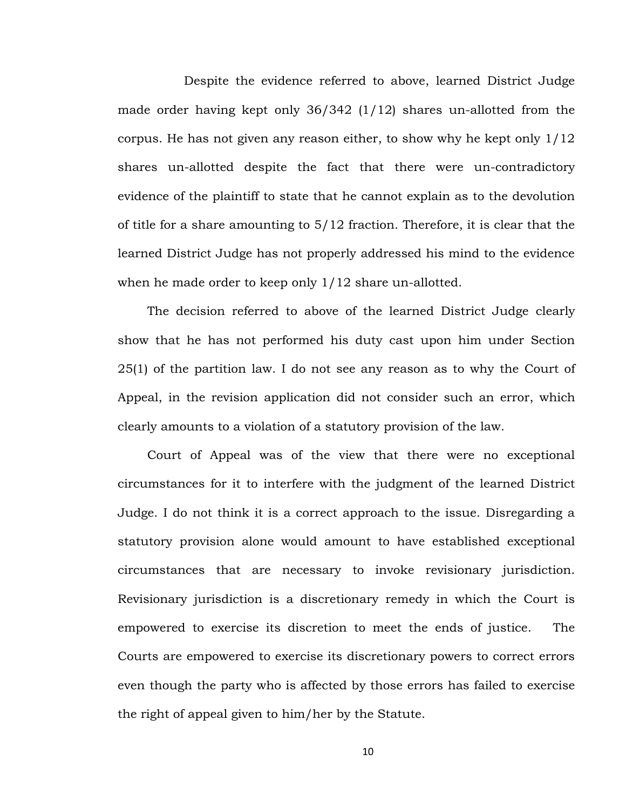Despite the evidence referred to above, learned District Judge made order having kept only 36/342 (1/12) shares un-allotted from the corpus. He has not given any reason either, to show why he kept only 1/12 shares un-allotted despite the fact that there were un-contradictory evidence of the plaintiff to state that he cannot explain as to the devolution of title for a share amounting to 5/12 fraction. Therefore, it is clear that the learned District Judge has not properly addressed his mind to the evidence when he made order to keep only  $1/12$  share un-allotted.

The decision referred to above of the learned District Judge clearly show that he has not performed his duty cast upon him under Section 25(1) of the partition law. I do not see any reason as to why the Court of Appeal, in the revision application did not consider such an error, which clearly amounts to a violation of a statutory provision of the law.

Court of Appeal was of the view that there were no exceptional circumstances for it to interfere with the judgment of the learned District Judge. I do not think it is a correct approach to the issue. Disregarding a statutory provision alone would amount to have established exceptional circumstances that are necessary to invoke revisionary jurisdiction. Revisionary jurisdiction is a discretionary remedy in which the Court is empowered to exercise its discretion to meet the ends of justice. The Courts are empowered to exercise its discretionary powers to correct errors even though the party who is affected by those errors has failed to exercise the right of appeal given to him/her by the Statute.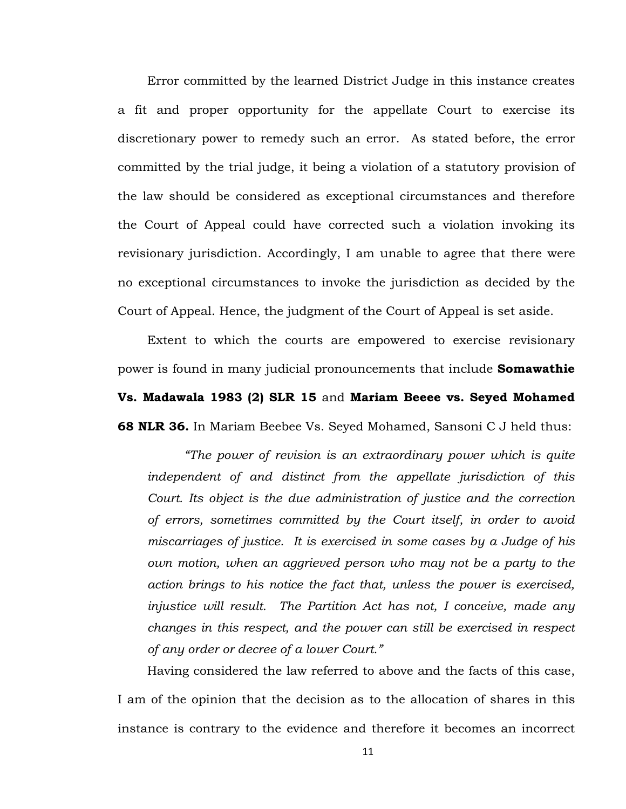Error committed by the learned District Judge in this instance creates a fit and proper opportunity for the appellate Court to exercise its discretionary power to remedy such an error. As stated before, the error committed by the trial judge, it being a violation of a statutory provision of the law should be considered as exceptional circumstances and therefore the Court of Appeal could have corrected such a violation invoking its revisionary jurisdiction. Accordingly, I am unable to agree that there were no exceptional circumstances to invoke the jurisdiction as decided by the Court of Appeal. Hence, the judgment of the Court of Appeal is set aside.

Extent to which the courts are empowered to exercise revisionary power is found in many judicial pronouncements that include **Somawathie Vs. Madawala 1983 (2) SLR 15** and **Mariam Beeee vs. Seyed Mohamed 68 NLR 36.** In Mariam Beebee Vs. Seyed Mohamed, Sansoni C J held thus:

*"The power of revision is an extraordinary power which is quite independent of and distinct from the appellate jurisdiction of this Court. Its object is the due administration of justice and the correction of errors, sometimes committed by the Court itself, in order to avoid miscarriages of justice. It is exercised in some cases by a Judge of his own motion, when an aggrieved person who may not be a party to the action brings to his notice the fact that, unless the power is exercised, injustice will result. The Partition Act has not, I conceive, made any changes in this respect, and the power can still be exercised in respect of any order or decree of a lower Court."*

Having considered the law referred to above and the facts of this case, I am of the opinion that the decision as to the allocation of shares in this instance is contrary to the evidence and therefore it becomes an incorrect